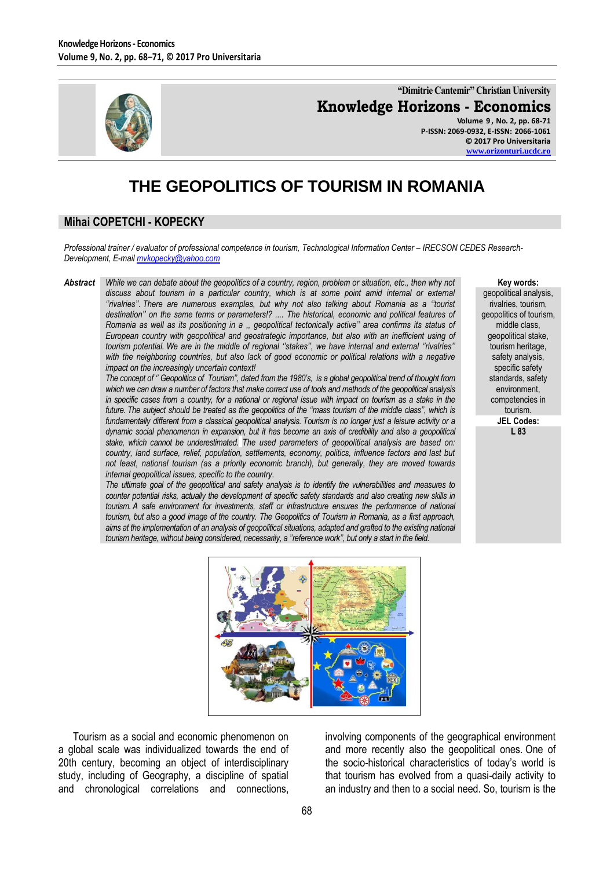

**"Dimitrie Cantemir" Christian University Knowledge Horizons - Economics**

**Volume 9 , No. 2, pp. 68-71 P-ISSN: 2069-0932, E-ISSN: 2066-1061 © 2017 Pro Universitaria [www.orizonturi.ucdc.ro](http://www.orizonturi.ucdc.ro/)**

# **THE GEOPOLITICS OF TOURISM IN ROMANIA**

## **Mihai COPETCHI - KOPECKY**

*Professional trainer / evaluator of professional competence in tourism, Technological Information Center – IRECSON CEDES Research-Development, E-mai[l mvkopecky@yahoo.com](mailto:mvkopecky@yahoo.com)*

*Abstract While we can debate about the geopolitics of a country, region, problem or situation, etc., then why not discuss about tourism in a particular country, which is at some point amid internal or external ''rivalries''. There are numerous examples, but why not also talking about Romania as a ''tourist destination'' on the same terms or parameters!? .... The historical, economic and political features of Romania as well as its positioning in a ,, geopolitical tectonically active'' area confirms its status of European country with geopolitical and geostrategic importance, but also with an inefficient using of tourism potential. We are in the middle of regional ''stakes'', we have internal and external ''rivalries''*  with the neighboring countries, but also lack of good economic or political relations with a negative *impact on the increasingly uncertain context!*

> *The concept of '' Geopolitics of Tourism'', dated from the 1980's, is a global geopolitical trend of thought from which we can draw a number of factors that make correct use of tools and methods of the geopolitical analysis in specific cases from a country, for a national or regional issue with impact on tourism as a stake in the future. The subject should be treated as the geopolitics of the ''mass tourism of the middle class'', which is fundamentally different from a classical geopolitical analysis. Tourism is no longer just a leisure activity or a dynamic social phenomenon in expansion, but it has become an axis of credibility and also a geopolitical stake, which cannot be underestimated. The used parameters of geopolitical analysis are based on: country, land surface, relief, population, settlements, economy, politics, influence factors and last but not least, national tourism (as a priority economic branch), but generally, they are moved towards internal geopolitical issues, specific to the country.*

> *The ultimate goal of the geopolitical and safety analysis is to identify the vulnerabilities and measures to counter potential risks, actually the development of specific safety standards and also creating new skills in tourism. A safe environment for investments, staff or infrastructure ensures the performance of national tourism, but also a good image of the country. The Geopolitics of Tourism in Romania, as a first approach,*  aims at the implementation of an analysis of geopolitical situations, adapted and grafted to the existing national *tourism heritage, without being considered, necessarily, a ''reference work'', but only a start in the field.*

**Key words:**

geopolitical analysis, rivalries, tourism, geopolitics of tourism, middle class, geopolitical stake, tourism heritage, safety analysis, specific safety standards, safety environment, competencies in tourism. **JEL Codes: L 83**



Tourism as a social and economic phenomenon on a global scale was individualized towards the end of 20th century, becoming an object of interdisciplinary study, including of Geography, a discipline of spatial and chronological correlations and connections, involving components of the geographical environment and more recently also the geopolitical ones. One of the socio-historical characteristics of today's world is that tourism has evolved from a quasi-daily activity to an industry and then to a social need. So, tourism is the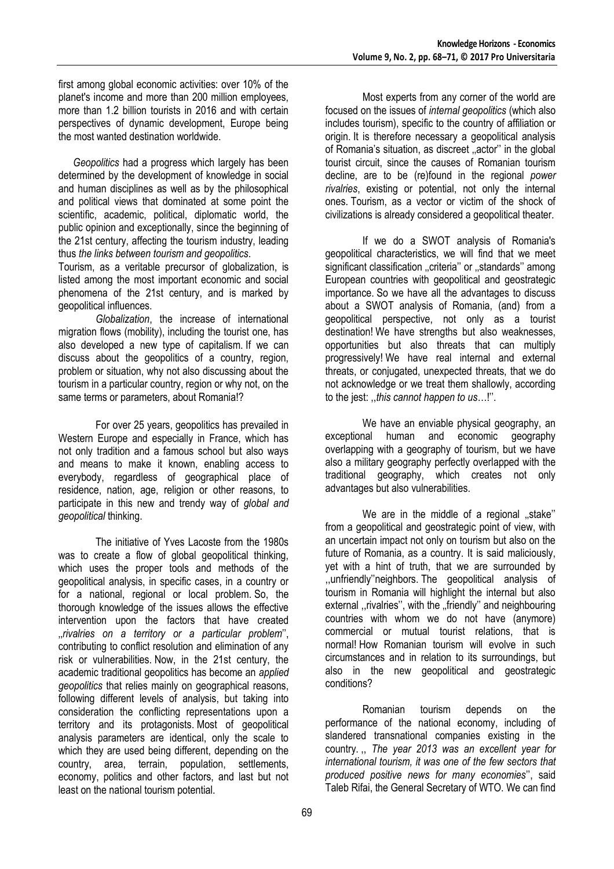first among global economic activities: over 10% of the planet's income and more than 200 million employees, more than 1.2 billion tourists in 2016 and with certain perspectives of dynamic development, Europe being the most wanted destination worldwide.

*Geopolitics* had a progress which largely has been determined by the development of knowledge in social and human disciplines as well as by the philosophical and political views that dominated at some point the scientific, academic, political, diplomatic world, the public opinion and exceptionally, since the beginning of the 21st century, affecting the tourism industry, leading thus *the links between tourism and geopolitics*.

Tourism, as a veritable precursor of globalization, is listed among the most important economic and social phenomena of the 21st century, and is marked by geopolitical influences.

*Globalization*, the increase of international migration flows (mobility), including the tourist one, has also developed a new type of capitalism. If we can discuss about the geopolitics of a country, region, problem or situation, why not also discussing about the tourism in a particular country, region or why not, on the same terms or parameters, about Romania!?

For over 25 years, geopolitics has prevailed in Western Europe and especially in France, which has not only tradition and a famous school but also ways and means to make it known, enabling access to everybody, regardless of geographical place of residence, nation, age, religion or other reasons, to participate in this new and trendy way of *global and geopolitical* thinking.

The initiative of Yves Lacoste from the 1980s was to create a flow of global geopolitical thinking, which uses the proper tools and methods of the geopolitical analysis, in specific cases, in a country or for a national, regional or local problem. So, the thorough knowledge of the issues allows the effective intervention upon the factors that have created ''*rivalries on a territory or a particular problem*'', contributing to conflict resolution and elimination of any risk or vulnerabilities. Now, in the 21st century, the academic traditional geopolitics has become an *applied geopolitics* that relies mainly on geographical reasons, following different levels of analysis, but taking into consideration the conflicting representations upon a territory and its protagonists. Most of geopolitical analysis parameters are identical, only the scale to which they are used being different, depending on the country, area, terrain, population, settlements, economy, politics and other factors, and last but not least on the national tourism potential.

Most experts from any corner of the world are focused on the issues of *internal geopolitics* (which also includes tourism), specific to the country of affiliation or origin. It is therefore necessary a geopolitical analysis of Romania's situation, as discreet ..actor" in the global tourist circuit, since the causes of Romanian tourism decline, are to be (re)found in the regional *power rivalries*, existing or potential, not only the internal ones. Tourism, as a vector or victim of the shock of civilizations is already considered a geopolitical theater.

If we do a SWOT analysis of Romania's geopolitical characteristics, we will find that we meet significant classification ..criteria" or ..standards" among European countries with geopolitical and geostrategic importance. So we have all the advantages to discuss about a SWOT analysis of Romania, (and) from a geopolitical perspective, not only as a tourist destination! We have strengths but also weaknesses, opportunities but also threats that can multiply progressively! We have real internal and external threats, or conjugated, unexpected threats, that we do not acknowledge or we treat them shallowly, according to the jest: ,,*this cannot happen to us*…!''.

We have an enviable physical geography, an exceptional human and economic geography overlapping with a geography of tourism, but we have also a military geography perfectly overlapped with the traditional geography, which creates not only advantages but also vulnerabilities.

We are in the middle of a regional .stake" from a geopolitical and geostrategic point of view, with an uncertain impact not only on tourism but also on the future of Romania, as a country. It is said maliciously, yet with a hint of truth, that we are surrounded by ,,unfriendly''neighbors. The geopolitical analysis of tourism in Romania will highlight the internal but also external , rivalries", with the "friendly" and neighbouring countries with whom we do not have (anymore) commercial or mutual tourist relations, that is normal! How Romanian tourism will evolve in such circumstances and in relation to its surroundings, but also in the new geopolitical and geostrategic conditions?

Romanian tourism depends on the performance of the national economy, including of slandered transnational companies existing in the country. ,, *The year 2013 was an excellent year for international tourism, it was one of the few sectors that produced positive news for many economies*'', said Taleb Rifai, the General Secretary of WTO. We can find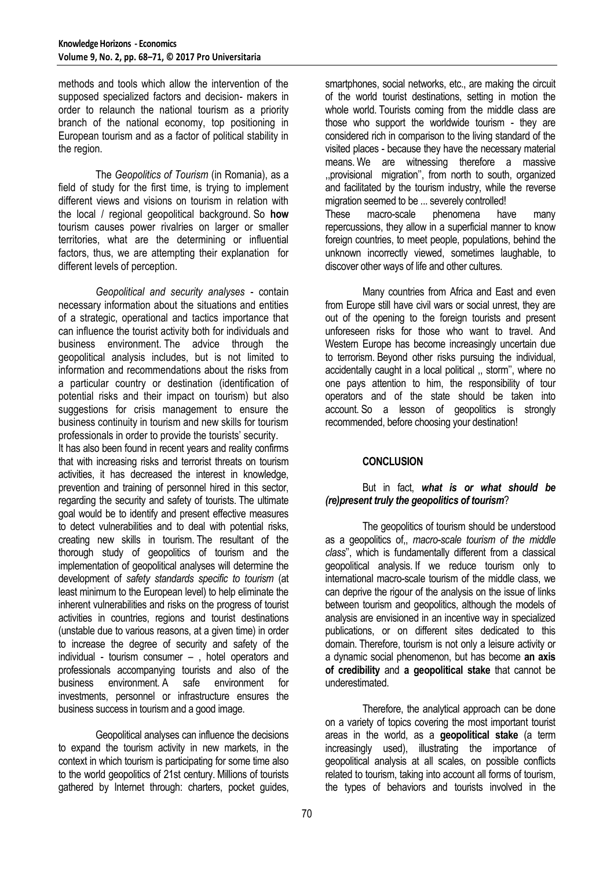methods and tools which allow the intervention of the supposed specialized factors and decision- makers in order to relaunch the national tourism as a priority branch of the national economy, top positioning in European tourism and as a factor of political stability in the region.

The *Geopolitics of Tourism* (in Romania), as a field of study for the first time, is trying to implement different views and visions on tourism in relation with the local / regional geopolitical background. So **how** tourism causes power rivalries on larger or smaller territories, what are the determining or influential factors, thus, we are attempting their explanation for different levels of perception.

*Geopolitical and security analyses* - contain necessary information about the situations and entities of a strategic, operational and tactics importance that can influence the tourist activity both for individuals and business environment. The advice through the geopolitical analysis includes, but is not limited to information and recommendations about the risks from a particular country or destination (identification of potential risks and their impact on tourism) but also suggestions for crisis management to ensure the business continuity in tourism and new skills for tourism professionals in order to provide the tourists' security.

It has also been found in recent years and reality confirms that with increasing risks and terrorist threats on tourism activities, it has decreased the interest in knowledge, prevention and training of personnel hired in this sector, regarding the security and safety of tourists. The ultimate goal would be to identify and present effective measures to detect vulnerabilities and to deal with potential risks, creating new skills in tourism. The resultant of the thorough study of geopolitics of tourism and the implementation of geopolitical analyses will determine the development of *safety standards specific to tourism* (at least minimum to the European level) to help eliminate the inherent vulnerabilities and risks on the progress of tourist activities in countries, regions and tourist destinations (unstable due to various reasons, at a given time) in order to increase the degree of security and safety of the individual - tourism consumer – , hotel operators and professionals accompanying tourists and also of the business environment. A safe environment for investments, personnel or infrastructure ensures the business success in tourism and a good image.

Geopolitical analyses can influence the decisions to expand the tourism activity in new markets, in the context in which tourism is participating for some time also to the world geopolitics of 21st century. Millions of tourists gathered by Internet through: charters, pocket guides,

smartphones, social networks, etc., are making the circuit of the world tourist destinations, setting in motion the whole world. Tourists coming from the middle class are those who support the worldwide tourism - they are considered rich in comparison to the living standard of the visited places - because they have the necessary material means. We are witnessing therefore a massive ,,provisional migration'', from north to south, organized and facilitated by the tourism industry, while the reverse migration seemed to be ... severely controlled! These macro-scale phenomena have many repercussions, they allow in a superficial manner to know foreign countries, to meet people, populations, behind the unknown incorrectly viewed, sometimes laughable, to discover other ways of life and other cultures.

Many countries from Africa and East and even from Europe still have civil wars or social unrest, they are out of the opening to the foreign tourists and present unforeseen risks for those who want to travel. And Western Europe has become increasingly uncertain due to terrorism. Beyond other risks pursuing the individual, accidentally caught in a local political ,, storm'', where no one pays attention to him, the responsibility of tour operators and of the state should be taken into account. So a lesson of geopolitics is strongly recommended, before choosing your destination!

### **CONCLUSION**

### But in fact, *what is or what should be (re)present truly the geopolitics of tourism*?

The geopolitics of tourism should be understood as a geopolitics of,, *macro-scale tourism of the middle class*'', which is fundamentally different from a classical geopolitical analysis. If we reduce tourism only to international macro-scale tourism of the middle class, we can deprive the rigour of the analysis on the issue of links between tourism and geopolitics, although the models of analysis are envisioned in an incentive way in specialized publications, or on different sites dedicated to this domain. Therefore, tourism is not only a leisure activity or a dynamic social phenomenon, but has become **an axis of credibility** and **a geopolitical stake** that cannot be underestimated.

Therefore, the analytical approach can be done on a variety of topics covering the most important tourist areas in the world, as a **geopolitical stake** (a term increasingly used), illustrating the importance of geopolitical analysis at all scales, on possible conflicts related to tourism, taking into account all forms of tourism, the types of behaviors and tourists involved in the